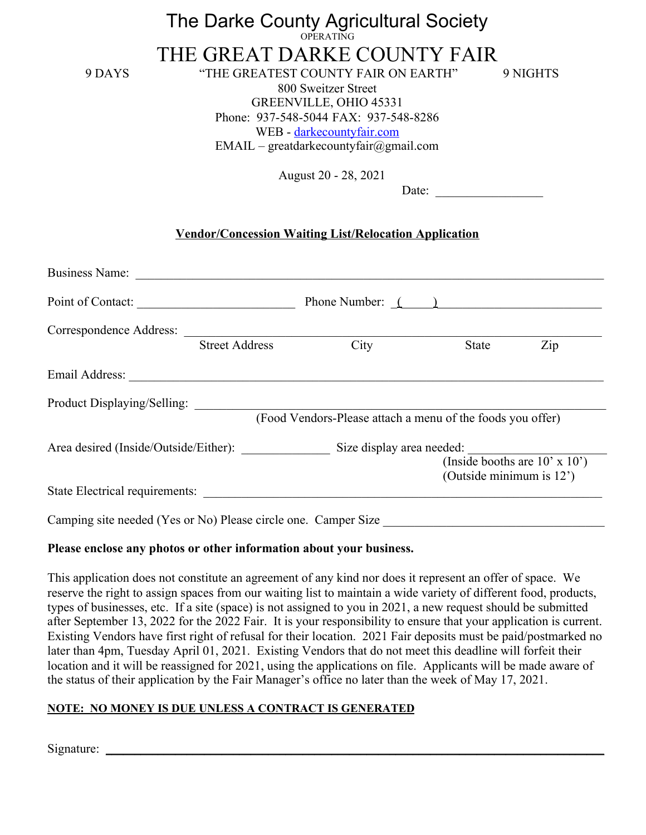# The Darke County Agricultural Society OPERATING

THE GREAT DARKE COUNTY FAIR 9 DAYS "THE GREATEST COUNTY FAIR ON EARTH" 9 NIGHTS

800 Sweitzer Street GREENVILLE, OHIO 45331 Phone: 937-548-5044 FAX: 937-548-8286 WEB - [darkecountyfair.com](http://www.darkecountyfair.com/)  $EMAIL - \text{greadarke}countvfair(\text{a})gmail.com$ 

August 20 - 28, 2021

Date:

## **Vendor/Concession Waiting List/Relocation Application**

| Point of Contact:                                                                                                                                                                                                                    |                       | Phone Number: $($ $)$ |                                                                     |     |
|--------------------------------------------------------------------------------------------------------------------------------------------------------------------------------------------------------------------------------------|-----------------------|-----------------------|---------------------------------------------------------------------|-----|
| Correspondence Address:                                                                                                                                                                                                              |                       |                       |                                                                     |     |
|                                                                                                                                                                                                                                      | <b>Street Address</b> | City                  | State                                                               | Zip |
| Email Address: <u>and a series of the series of the series of the series of the series of the series of the series of the series of the series of the series of the series of the series of the series of the series of the seri</u> |                       |                       |                                                                     |     |
| Product Displaying/Selling:                                                                                                                                                                                                          |                       |                       | (Food Vendors-Please attach a menu of the foods you offer)          |     |
| Area desired (Inside/Outside/Either): Size display area needed:                                                                                                                                                                      |                       |                       |                                                                     |     |
|                                                                                                                                                                                                                                      |                       |                       | (Inside booths are $10' \times 10'$ )<br>(Outside minimum is $12$ ) |     |
|                                                                                                                                                                                                                                      |                       |                       |                                                                     |     |

#### **Please enclose any photos or other information about your business.**

This application does not constitute an agreement of any kind nor does it represent an offer of space. We reserve the right to assign spaces from our waiting list to maintain a wide variety of different food, products, types of businesses, etc. If a site (space) is not assigned to you in 2021, a new request should be submitted after September 13, 2022 for the 2022 Fair. It is your responsibility to ensure that your application is current. Existing Vendors have first right of refusal for their location. 2021 Fair deposits must be paid/postmarked no later than 4pm, Tuesday April 01, 2021. Existing Vendors that do not meet this deadline will forfeit their location and it will be reassigned for 2021, using the applications on file. Applicants will be made aware of the status of their application by the Fair Manager's office no later than the week of May 17, 2021.

# **NOTE: NO MONEY IS DUE UNLESS A CONTRACT IS GENERATED**

Signature: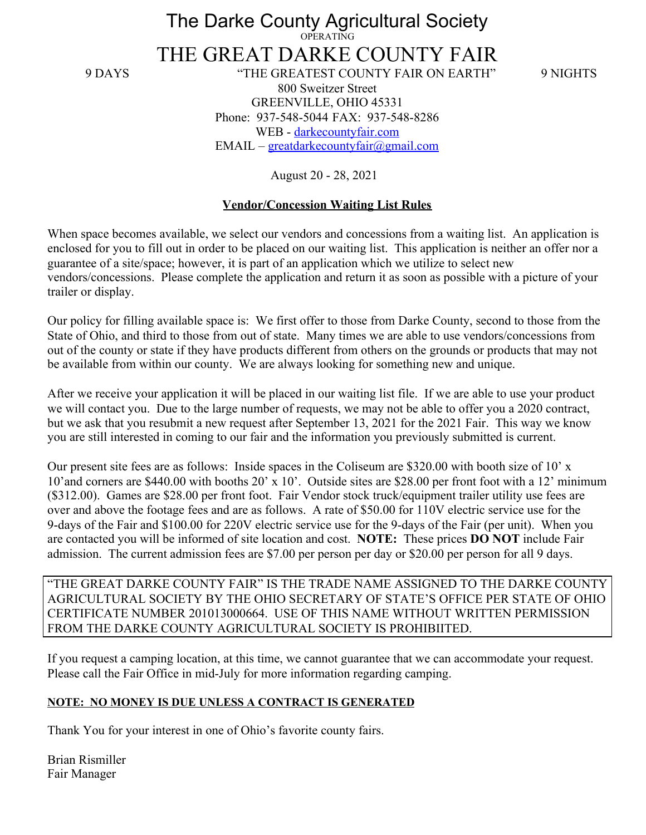The Darke County Agricultural Society OPERATING

THE GREAT DARKE COUNTY FAIR 9 DAYS "THE GREATEST COUNTY FAIR ON EARTH" 9 NIGHTS 800 Sweitzer Street GREENVILLE, OHIO 45331 Phone: 937-548-5044 FAX: 937-548-8286 WEB - [darkecountyfair.com](http://www.darkecountyfair.com/)  $EMAIL - \text{greatest}$ darkecountyfair@gmail.com

August 20 - 28, 2021

### **Vendor/Concession Waiting List Rules**

When space becomes available, we select our vendors and concessions from a waiting list. An application is enclosed for you to fill out in order to be placed on our waiting list. This application is neither an offer nor a guarantee of a site/space; however, it is part of an application which we utilize to select new vendors/concessions. Please complete the application and return it as soon as possible with a picture of your trailer or display.

Our policy for filling available space is: We first offer to those from Darke County, second to those from the State of Ohio, and third to those from out of state. Many times we are able to use vendors/concessions from out of the county or state if they have products different from others on the grounds or products that may not be available from within our county. We are always looking for something new and unique.

After we receive your application it will be placed in our waiting list file. If we are able to use your product we will contact you. Due to the large number of requests, we may not be able to offer you a 2020 contract, but we ask that you resubmit a new request after September 13, 2021 for the 2021 Fair. This way we know you are still interested in coming to our fair and the information you previously submitted is current.

Our present site fees are as follows: Inside spaces in the Coliseum are \$320.00 with booth size of 10' x 10'and corners are \$440.00 with booths 20' x 10'. Outside sites are \$28.00 per front foot with a 12' minimum (\$312.00). Games are \$28.00 per front foot. Fair Vendor stock truck/equipment trailer utility use fees are over and above the footage fees and are as follows. A rate of \$50.00 for 110V electric service use for the 9-days of the Fair and \$100.00 for 220V electric service use for the 9-days of the Fair (per unit). When you are contacted you will be informed of site location and cost. **NOTE:** These prices **DO NOT** include Fair admission. The current admission fees are \$7.00 per person per day or \$20.00 per person for all 9 days.

"THE GREAT DARKE COUNTY FAIR" IS THE TRADE NAME ASSIGNED TO THE DARKE COUNTY AGRICULTURAL SOCIETY BY THE OHIO SECRETARY OF STATE'S OFFICE PER STATE OF OHIO CERTIFICATE NUMBER 201013000664. USE OF THIS NAME WITHOUT WRITTEN PERMISSION FROM THE DARKE COUNTY AGRICULTURAL SOCIETY IS PROHIBIITED.

If you request a camping location, at this time, we cannot guarantee that we can accommodate your request. Please call the Fair Office in mid-July for more information regarding camping.

#### **NOTE: NO MONEY IS DUE UNLESS A CONTRACT IS GENERATED**

Thank You for your interest in one of Ohio's favorite county fairs.

Brian Rismiller Fair Manager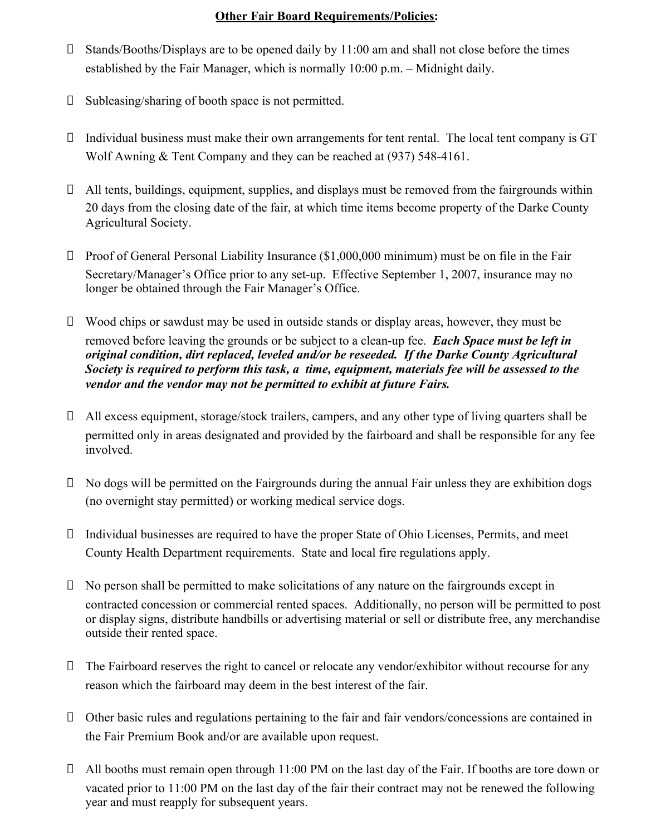# **Other Fair Board Requirements/Policies:**

- $\Box$  Stands/Booths/Displays are to be opened daily by 11:00 am and shall not close before the times established by the Fair Manager, which is normally 10:00 p.m. – Midnight daily.
- $\square$  Subleasing/sharing of booth space is not permitted.
- $\Box$  Individual business must make their own arrangements for tent rental. The local tent company is GT Wolf Awning & Tent Company and they can be reached at (937) 548-4161.
- $\Box$  All tents, buildings, equipment, supplies, and displays must be removed from the fairgrounds within 20 days from the closing date of the fair, at which time items become property of the Darke County Agricultural Society.
- $\Box$  Proof of General Personal Liability Insurance (\$1,000,000 minimum) must be on file in the Fair Secretary/Manager's Office prior to any set-up. Effective September 1, 2007, insurance may no longer be obtained through the Fair Manager's Office.
- $\Box$  Wood chips or sawdust may be used in outside stands or display areas, however, they must be removed before leaving the grounds or be subject to a clean-up fee. *Each Space must be left in original condition, dirt replaced, leveled and/or be reseeded. If the Darke County Agricultural Society is required to perform this task, a time, equipment, materials fee will be assessed to the vendor and the vendor may not be permitted to exhibit at future Fairs.*
- All excess equipment, storage/stock trailers, campers, and any other type of living quarters shall be permitted only in areas designated and provided by the fairboard and shall be responsible for any fee involved.
- $\Box$  No dogs will be permitted on the Fairgrounds during the annual Fair unless they are exhibition dogs (no overnight stay permitted) or working medical service dogs.
- $\Box$  Individual businesses are required to have the proper State of Ohio Licenses, Permits, and meet County Health Department requirements. State and local fire regulations apply.
- $\Box$  No person shall be permitted to make solicitations of any nature on the fairgrounds except in contracted concession or commercial rented spaces. Additionally, no person will be permitted to post or display signs, distribute handbills or advertising material or sell or distribute free, any merchandise outside their rented space.
- The Fairboard reserves the right to cancel or relocate any vendor/exhibitor without recourse for any reason which the fairboard may deem in the best interest of the fair.
- Other basic rules and regulations pertaining to the fair and fair vendors/concessions are contained in the Fair Premium Book and/or are available upon request.
- All booths must remain open through 11:00 PM on the last day of the Fair. If booths are tore down or vacated prior to 11:00 PM on the last day of the fair their contract may not be renewed the following year and must reapply for subsequent years.